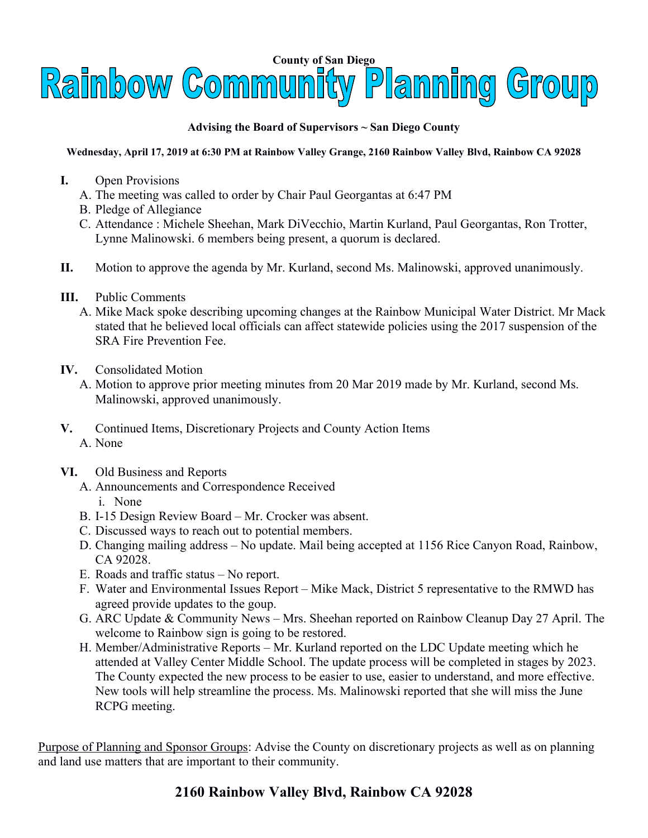

## **Advising the Board of Supervisors ~ San Diego County**

## **Wednesday, April 17, 2019 at 6:30 PM at Rainbow Valley Grange, 2160 Rainbow Valley Blvd, Rainbow CA 92028**

- **I.** Open Provisions
	- A. The meeting was called to order by Chair Paul Georgantas at 6:47 PM
	- B. Pledge of Allegiance
	- C. Attendance : Michele Sheehan, Mark DiVecchio, Martin Kurland, Paul Georgantas, Ron Trotter, Lynne Malinowski. 6 members being present, a quorum is declared.
- **II.** Motion to approve the agenda by Mr. Kurland, second Ms. Malinowski, approved unanimously.
- **III.** Public Comments
	- A. Mike Mack spoke describing upcoming changes at the Rainbow Municipal Water District. Mr Mack stated that he believed local officials can affect statewide policies using the 2017 suspension of the SRA Fire Prevention Fee.
- **IV.** Consolidated Motion
	- A. Motion to approve prior meeting minutes from 20 Mar 2019 made by Mr. Kurland, second Ms. Malinowski, approved unanimously.
- **V.** Continued Items, Discretionary Projects and County Action Items A. None
- **VI.** Old Business and Reports
	- A. Announcements and Correspondence Received i. None
	- B. I-15 Design Review Board Mr. Crocker was absent.
	- C. Discussed ways to reach out to potential members.
	- D. Changing mailing address No update. Mail being accepted at 1156 Rice Canyon Road, Rainbow, CA 92028.
	- E. Roads and traffic status No report.
	- F. Water and Environmental Issues Report Mike Mack, District 5 representative to the RMWD has agreed provide updates to the goup.
	- G. ARC Update & Community News Mrs. Sheehan reported on Rainbow Cleanup Day 27 April. The welcome to Rainbow sign is going to be restored.
	- H. Member/Administrative Reports Mr. Kurland reported on the LDC Update meeting which he attended at Valley Center Middle School. The update process will be completed in stages by 2023. The County expected the new process to be easier to use, easier to understand, and more effective. New tools will help streamline the process. Ms. Malinowski reported that she will miss the June RCPG meeting.

Purpose of Planning and Sponsor Groups: Advise the County on discretionary projects as well as on planning and land use matters that are important to their community.

## **2160 Rainbow Valley Blvd, Rainbow CA 92028**